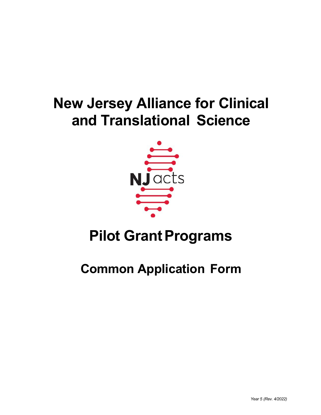# **New Jersey Alliance for Clinical and Translational Science**



# **Pilot Grant Programs**

## **Common Application Form**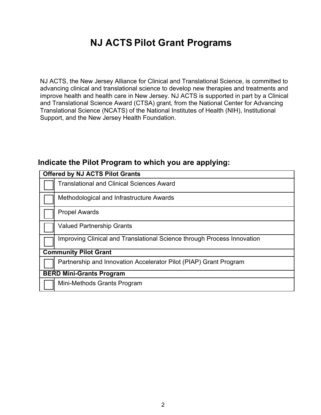## **NJ ACTS Pilot Grant Programs**

NJ ACTS, the New Jersey Alliance for Clinical and Translational Science, is committed to advancing clinical and translational science to develop new therapies and treatments and improve health and health care in New Jersey. NJ ACTS is supported in part by a Clinical and Translational Science Award (CTSA) grant, from the National Center for Advancing Translational Science (NCATS) of the National Institutes of Health (NIH), Institutional Support, and the New Jersey Health Foundation.

## **Indicate the Pilot Program to which you are applying:**

| <b>Offered by NJ ACTS Pilot Grants</b>                                  |  |  |
|-------------------------------------------------------------------------|--|--|
| <b>Translational and Clinical Sciences Award</b>                        |  |  |
| Methodological and Infrastructure Awards                                |  |  |
| <b>Propel Awards</b>                                                    |  |  |
| <b>Valued Partnership Grants</b>                                        |  |  |
| Improving Clinical and Translational Science through Process Innovation |  |  |
| <b>Community Pilot Grant</b>                                            |  |  |
| Partnership and Innovation Accelerator Pilot (PIAP) Grant Program       |  |  |
| <b>BERD Mini-Grants Program</b>                                         |  |  |
| Mini-Methods Grants Program                                             |  |  |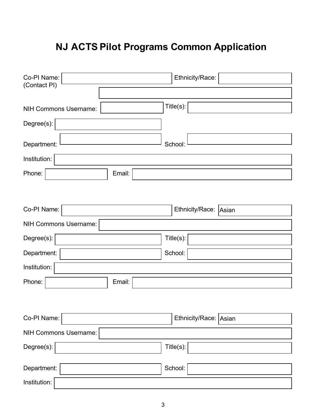## **NJ ACTS Pilot Programs Common Application**

| Co-PI Name:<br>(Contact PI)  | Ethnicity/Race:       |
|------------------------------|-----------------------|
|                              |                       |
| <b>NIH Commons Username:</b> | Title(s):             |
| Degree(s):                   |                       |
| Department:                  | School:               |
| Institution:                 |                       |
| Phone:<br>Email:             |                       |
|                              |                       |
| Co-PI Name:                  | Ethnicity/Race: Asian |
| <b>NIH Commons Username:</b> |                       |
| Degree(s):                   | Title(s):             |
| Department:                  | School:               |
| Institution:                 |                       |
| Phone:<br>Email:             |                       |
|                              |                       |
| Co-PI Name:                  | Ethnicity/Race: Asian |
| <b>NIH Commons Username:</b> |                       |
| Degree(s):                   | Title(s):             |
| Department:                  | School:               |
| Institution:                 |                       |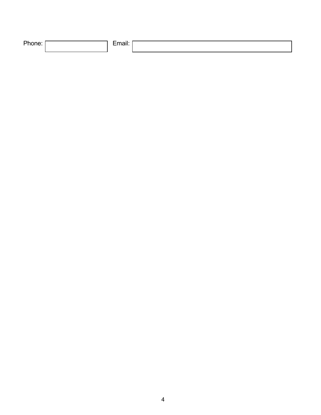| DL.<br>_ |  |  |
|----------|--|--|
|          |  |  |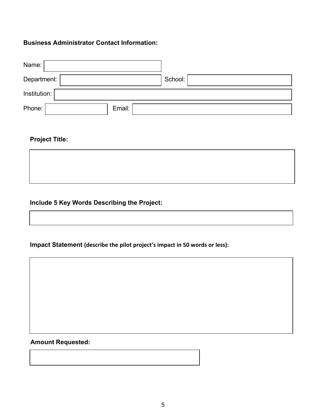### **Business Administrator Contact Information:**

| Name:            |  |         |
|------------------|--|---------|
| Department:      |  | School: |
| Institution:     |  |         |
| Phone:<br>Email: |  |         |

## **Project Title:**



**Impact Statement (describe the pilot project's impact in 50 words or less):**

**Amount Requested:**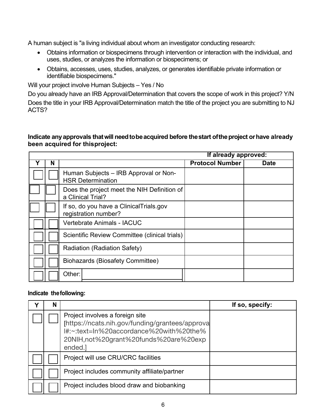A human subject is "a living individual about whom an investigator conducting research:

- Obtains information or biospecimens through intervention or interaction with the individual, and uses, studies, or analyzes the information or biospecimens; or
- Obtains, accesses, uses, studies, analyzes, or generates identifiable private information or identifiable biospecimens."

Will your project involve Human Subjects – Yes / No

Do you already have an IRB Approval/Determination that covers the scope of work in this project? Y/N Does the title in your IRB Approval/Determination match the title of the project you are submitting to NJ ACTS?

#### **Indicate anyapprovals thatwill needtobeacquired before thestart oftheproject orhave already been acquired for thisproject:**

|   |   |                                                                   | If already approved:   |             |
|---|---|-------------------------------------------------------------------|------------------------|-------------|
| Y | N |                                                                   | <b>Protocol Number</b> | <b>Date</b> |
|   |   | Human Subjects - IRB Approval or Non-<br><b>HSR Determination</b> |                        |             |
|   |   | Does the project meet the NIH Definition of<br>a Clinical Trial?  |                        |             |
|   |   | If so, do you have a Clinical Trials.gov<br>registration number?  |                        |             |
|   |   | <b>Vertebrate Animals - IACUC</b>                                 |                        |             |
|   |   | Scientific Review Committee (clinical trials)                     |                        |             |
|   |   | Radiation (Radiation Safety)                                      |                        |             |
|   |   | <b>Biohazards (Biosafety Committee)</b>                           |                        |             |
|   |   | Other:                                                            |                        |             |

#### **Indicate thefollowing:**

| N |                                                                                                                                                                                   | If so, specify: |
|---|-----------------------------------------------------------------------------------------------------------------------------------------------------------------------------------|-----------------|
|   | Project involves a foreign site<br>[https://ncats.nih.gov/funding/grantees/approva<br>I#:~:text=In%20accordance%20with%20the%<br>20NIH, not%20grant%20funds%20are%20exp<br>ended. |                 |
|   | Project will use CRU/CRC facilities                                                                                                                                               |                 |
|   | Project includes community affiliate/partner                                                                                                                                      |                 |
|   | Project includes blood draw and biobanking                                                                                                                                        |                 |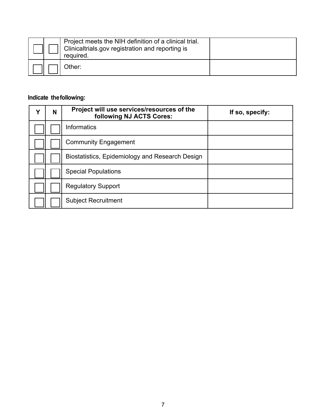|  | Project meets the NIH definition of a clinical trial.<br>Clinicaltrials.gov registration and reporting is<br>required. |  |
|--|------------------------------------------------------------------------------------------------------------------------|--|
|  | Other:                                                                                                                 |  |

## **Indicate thefollowing:**

| Υ | N | Project will use services/resources of the<br>following NJ ACTS Cores: | If so, specify: |
|---|---|------------------------------------------------------------------------|-----------------|
|   |   | Informatics                                                            |                 |
|   |   | <b>Community Engagement</b>                                            |                 |
|   |   | Biostatistics, Epidemiology and Research Design                        |                 |
|   |   | <b>Special Populations</b>                                             |                 |
|   |   | <b>Regulatory Support</b>                                              |                 |
|   |   | <b>Subject Recruitment</b>                                             |                 |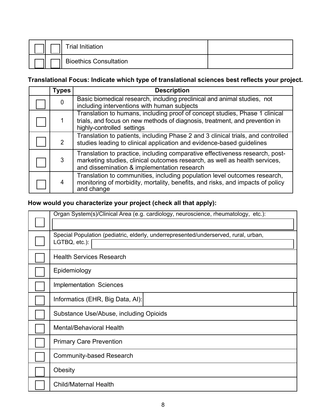|  | Trial Initiation              |  |
|--|-------------------------------|--|
|  | <b>Bioethics Consultation</b> |  |

### **Translational Focus: Indicate which type of translational sciences best reflects your project.**

| <b>Types</b> | <b>Description</b>                                                                                                                                                                                        |
|--------------|-----------------------------------------------------------------------------------------------------------------------------------------------------------------------------------------------------------|
| 0            | Basic biomedical research, including preclinical and animal studies, not<br>including interventions with human subjects                                                                                   |
|              | Translation to humans, including proof of concept studies, Phase 1 clinical<br>trials, and focus on new methods of diagnosis, treatment, and prevention in<br>highly-controlled settings                  |
| 2            | Translation to patients, including Phase 2 and 3 clinical trials, and controlled<br>studies leading to clinical application and evidence-based guidelines                                                 |
| 3            | Translation to practice, including comparative effectiveness research, post-<br>marketing studies, clinical outcomes research, as well as health services,<br>and dissemination & implementation research |
| 4            | Translation to communities, including population level outcomes research,<br>monitoring of morbidity, mortality, benefits, and risks, and impacts of policy<br>and change                                 |

## **How would you characterize your project (check all that apply):**

| Organ System(s)/Clinical Area (e.g. cardiology, neuroscience, rheumatology, etc.):  |
|-------------------------------------------------------------------------------------|
|                                                                                     |
| Special Population (pediatric, elderly, underrepresented/underserved, rural, urban, |
| LGTBQ, etc.):                                                                       |
| <b>Health Services Research</b>                                                     |
| Epidemiology                                                                        |
| <b>Implementation Sciences</b>                                                      |
| Informatics (EHR, Big Data, AI):                                                    |
| Substance Use/Abuse, including Opioids                                              |
| Mental/Behavioral Health                                                            |
| <b>Primary Care Prevention</b>                                                      |
| <b>Community-based Research</b>                                                     |
| Obesity                                                                             |
| <b>Child/Maternal Health</b>                                                        |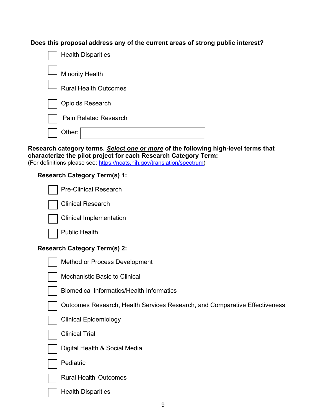**Does this proposal address any of the current areas of strong public interest?**

| <b>Health Disparities</b>    |
|------------------------------|
| <b>Minority Health</b>       |
| <b>Rural Health Outcomes</b> |
| <b>Opioids Research</b>      |
| <b>Pain Related Research</b> |
| Other:                       |

#### **Research category terms.** *Select one or more* **of the following high-level terms that characterize the pilot project for each Research Category Term:**

(For definitions please see: https://ncats.nih.gov/translation/spectrum)

### **Research Category Term(s) 1:**

| <b>Pre-Clinical Research</b>                                               |
|----------------------------------------------------------------------------|
| <b>Clinical Research</b>                                                   |
| <b>Clinical Implementation</b>                                             |
| <b>Public Health</b>                                                       |
| <b>Research Category Term(s) 2:</b>                                        |
| Method or Process Development                                              |
| <b>Mechanistic Basic to Clinical</b>                                       |
| <b>Biomedical Informatics/Health Informatics</b>                           |
| Outcomes Research, Health Services Research, and Comparative Effectiveness |
| <b>Clinical Epidemiology</b>                                               |
| <b>Clinical Trial</b>                                                      |
| Digital Health & Social Media                                              |
| Pediatric                                                                  |
| <b>Rural Health Outcomes</b>                                               |
| <b>Health Disparities</b>                                                  |
|                                                                            |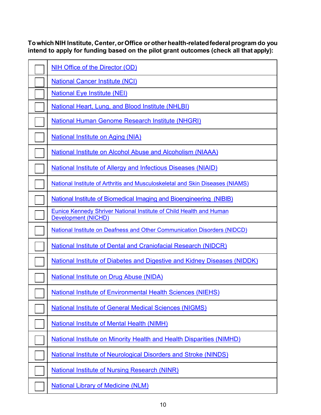**Towhich NIH Institute, Center,orOffice orotherhealth-relatedfederalprogram do you intend to apply for funding based on the pilot grant outcomes (check all that apply):**

| <b>NIH Office of the Director (OD)</b>                                                                   |
|----------------------------------------------------------------------------------------------------------|
| <b>National Cancer Institute (NCI)</b>                                                                   |
| <b>National Eye Institute (NEI)</b>                                                                      |
| <b>National Heart, Lung, and Blood Institute (NHLBI)</b>                                                 |
| <b>National Human Genome Research Institute (NHGRI)</b>                                                  |
| <b>National Institute on Aging (NIA)</b>                                                                 |
| <b>National Institute on Alcohol Abuse and Alcoholism (NIAAA)</b>                                        |
| National Institute of Allergy and Infectious Diseases (NIAID)                                            |
| National Institute of Arthritis and Musculoskeletal and Skin Diseases (NIAMS)                            |
| National Institute of Biomedical Imaging and Bioengineering (NIBIB)                                      |
| <b>Eunice Kennedy Shriver National Institute of Child Health and Human</b><br><b>Development (NICHD)</b> |
| National Institute on Deafness and Other Communication Disorders (NIDCD)                                 |
| <b>National Institute of Dental and Craniofacial Research (NIDCR)</b>                                    |
| <b>National Institute of Diabetes and Digestive and Kidney Diseases (NIDDK)</b>                          |
| <b>National Institute on Drug Abuse (NIDA)</b>                                                           |
| <b>National Institute of Environmental Health Sciences (NIEHS)</b>                                       |
| <b>National Institute of General Medical Sciences (NIGMS)</b>                                            |
| <b>National Institute of Mental Health (NIMH)</b>                                                        |
| National Institute on Minority Health and Health Disparities (NIMHD)                                     |
| <b>National Institute of Neurological Disorders and Stroke (NINDS)</b>                                   |
| <b>National Institute of Nursing Research (NINR)</b>                                                     |
| <b>National Library of Medicine (NLM)</b>                                                                |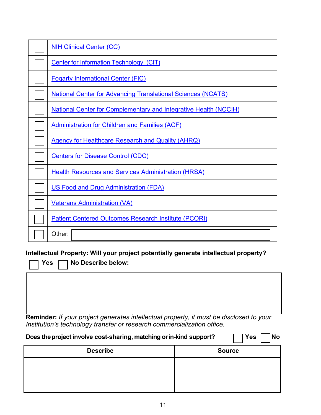| <b>NIH Clinical Center (CC)</b>                                         |
|-------------------------------------------------------------------------|
| <b>Center for Information Technology (CIT)</b>                          |
| <b>Fogarty International Center (FIC)</b>                               |
| <b>National Center for Advancing Translational Sciences (NCATS)</b>     |
| <b>National Center for Complementary and Integrative Health (NCCIH)</b> |
| <b>Administration for Children and Families (ACF)</b>                   |
| <b>Agency for Healthcare Research and Quality (AHRQ)</b>                |
| <b>Centers for Disease Control (CDC)</b>                                |
| <b>Health Resources and Services Administration (HRSA)</b>              |
| <b>US Food and Drug Administration (FDA)</b>                            |
| <u>Veterans Administration (VA)</u>                                     |
| <b>Patient Centered Outcomes Research Institute (PCORI)</b>             |
| Other:                                                                  |

**Intellectual Property: Will your project potentially generate intellectual property?**

**Yes No Describe below:**

**Reminder:** *If your project generates intellectual property, it must be disclosed to your Institution's technology transfer or research commercialization office.*

| <b>Yes</b><br>Does the project involve cost-sharing, matching or in-kind support?<br><b>No</b> |               |  |  |
|------------------------------------------------------------------------------------------------|---------------|--|--|
| <b>Describe</b>                                                                                | <b>Source</b> |  |  |
|                                                                                                |               |  |  |
|                                                                                                |               |  |  |
|                                                                                                |               |  |  |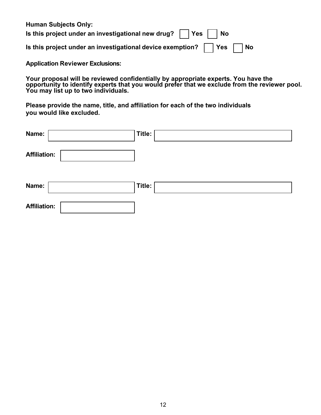| <b>Human Subjects Only:</b>                                               |
|---------------------------------------------------------------------------|
| Is this project under an investigational new drug? $\vert$   Yes     No   |
| Is this project under an investigational device exemption?     Yes     No |

**Application Reviewer Exclusions:** 

**Your proposal will be reviewed confidentially by appropriate experts. You have the opportunity to identify experts that you would prefer that we exclude from the reviewer pool. You may list up to two individuals.** 

**Please provide the name, title, and affiliation for each of the two individuals you would like excluded.** 

| Name:               | Title: |
|---------------------|--------|
| <b>Affiliation:</b> |        |
| Name:               | Title: |
| <b>Affiliation:</b> |        |